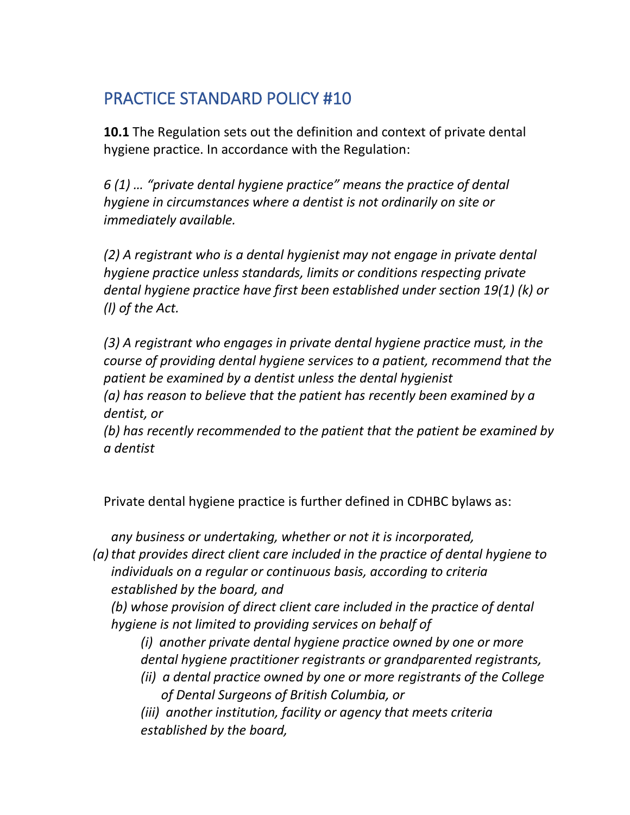# PRACTICE STANDARD POLICY #10

**10.1** The Regulation sets out the definition and context of private dental hygiene practice. In accordance with the Regulation:

*6 (1) … "private dental hygiene practice" means the practice of dental hygiene in circumstances where a dentist is not ordinarily on site or immediately available.*

*(2) A registrant who is a dental hygienist may not engage in private dental hygiene practice unless standards, limits or conditions respecting private dental hygiene practice have first been established under section 19(1) (k) or (l) of the Act.*

*(3) A registrant who engages in private dental hygiene practice must, in the course of providing dental hygiene services to a patient, recommend that the patient be examined by a dentist unless the dental hygienist (a) has reason to believe that the patient has recently been examined by a* 

*dentist, or*

*(b) has recently recommended to the patient that the patient be examined by a dentist*

Private dental hygiene practice is further defined in CDHBC bylaws as:

*any business or undertaking, whether or not it is incorporated,*

*(a)that provides direct client care included in the practice of dental hygiene to individuals on a regular or continuous basis, according to criteria established by the board, and*

*(b) whose provision of direct client care included in the practice of dental hygiene is not limited to providing services on behalf of*

*(i) another private dental hygiene practice owned by one or more dental hygiene practitioner registrants or grandparented registrants,*

*(ii) a dental practice owned by one or more registrants of the College of Dental Surgeons of British Columbia, or*

*(iii) another institution, facility or agency that meets criteria established by the board,*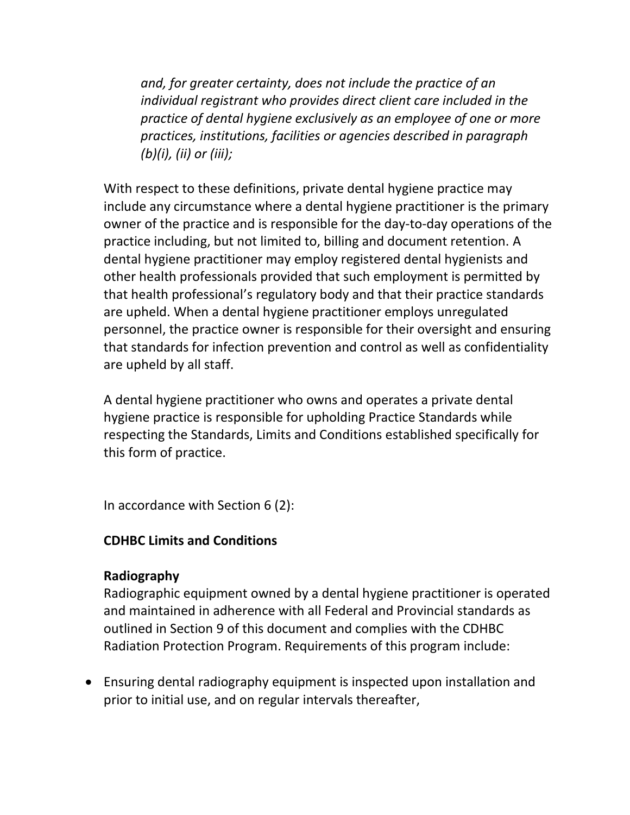*and, for greater certainty, does not include the practice of an individual registrant who provides direct client care included in the practice of dental hygiene exclusively as an employee of one or more practices, institutions, facilities or agencies described in paragraph (b)(i), (ii) or (iii);*

With respect to these definitions, private dental hygiene practice may include any circumstance where a dental hygiene practitioner is the primary owner of the practice and is responsible for the day-to-day operations of the practice including, but not limited to, billing and document retention. A dental hygiene practitioner may employ registered dental hygienists and other health professionals provided that such employment is permitted by that health professional's regulatory body and that their practice standards are upheld. When a dental hygiene practitioner employs unregulated personnel, the practice owner is responsible for their oversight and ensuring that standards for infection prevention and control as well as confidentiality are upheld by all staff.

A dental hygiene practitioner who owns and operates a private dental hygiene practice is responsible for upholding Practice Standards while respecting the Standards, Limits and Conditions established specifically for this form of practice.

In accordance with Section 6 (2):

#### **CDHBC Limits and Conditions**

#### **Radiography**

Radiographic equipment owned by a dental hygiene practitioner is operated and maintained in adherence with all Federal and Provincial standards as outlined in Section 9 of this document and complies with the CDHBC Radiation Protection Program. Requirements of this program include:

• Ensuring dental radiography equipment is inspected upon installation and prior to initial use, and on regular intervals thereafter,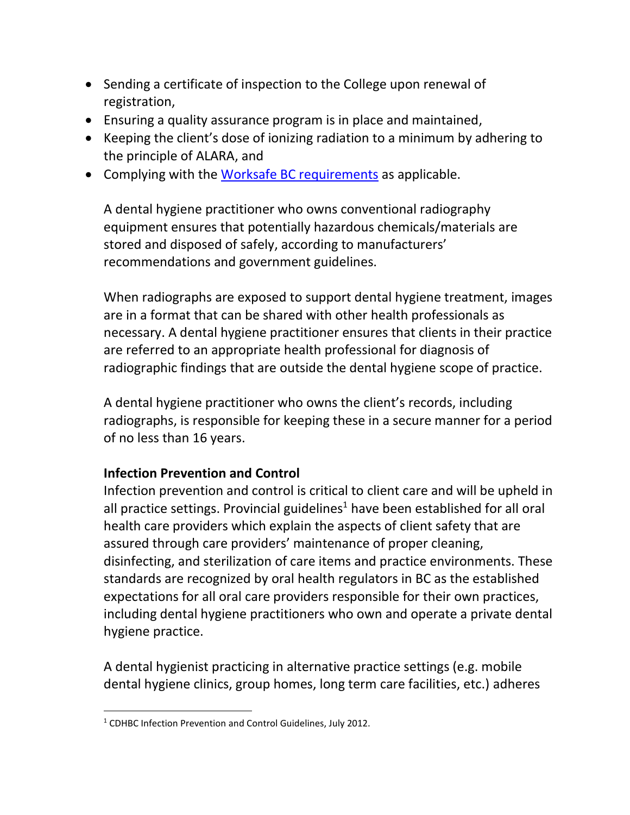- Sending a certificate of inspection to the College upon renewal of registration,
- Ensuring a quality assurance program is in place and maintained,
- Keeping the client's dose of ionizing radiation to a minimum by adhering to the principle of ALARA, and
- Complying with the [Worksafe BC requirements](https://www.worksafebc.com/en/law-policy/occupational-health-safety/searchable-ohs-regulation/ohs-regulation/part-07-noise-vibration-radiation-and-temperature#SectionNumber:7.18) as applicable.

A dental hygiene practitioner who owns conventional radiography equipment ensures that potentially hazardous chemicals/materials are stored and disposed of safely, according to manufacturers' recommendations and government guidelines.

When radiographs are exposed to support dental hygiene treatment, images are in a format that can be shared with other health professionals as necessary. A dental hygiene practitioner ensures that clients in their practice are referred to an appropriate health professional for diagnosis of radiographic findings that are outside the dental hygiene scope of practice.

A dental hygiene practitioner who owns the client's records, including radiographs, is responsible for keeping these in a secure manner for a period of no less than 16 years.

## **Infection Prevention and Control**

Infection prevention and control is critical to client care and will be upheld in all practice settings. Provincial guidelines<sup>1</sup> have been established for all oral health care providers which explain the aspects of client safety that are assured through care providers' maintenance of proper cleaning, disinfecting, and sterilization of care items and practice environments. These standards are recognized by oral health regulators in BC as the established expectations for all oral care providers responsible for their own practices, including dental hygiene practitioners who own and operate a private dental hygiene practice.

A dental hygienist practicing in alternative practice settings (e.g. mobile dental hygiene clinics, group homes, long term care facilities, etc.) adheres

<sup>1</sup> CDHBC Infection Prevention and Control Guidelines, July 2012.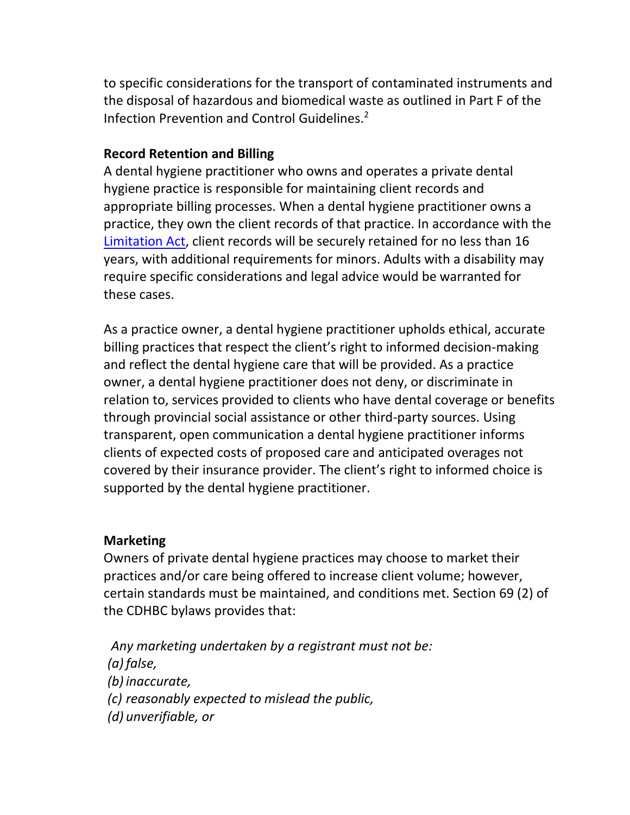to specific considerations for the transport of contaminated instruments and the disposal of hazardous and biomedical waste as outlined in Part F of the Infection Prevention and Control Guidelines. 2

#### **Record Retention and Billing**

A dental hygiene practitioner who owns and operates a private dental hygiene practice is responsible for maintaining client records and appropriate billing processes. When a dental hygiene practitioner owns a practice, they own the client records of that practice. In accordance with the [Limitation Act,](http://www.bclaws.ca/civix/document/id/complete/statreg/12013_01) client records will be securely retained for no less than 16 years, with additional requirements for minors. Adults with a disability may require specific considerations and legal advice would be warranted for these cases.

As a practice owner, a dental hygiene practitioner upholds ethical, accurate billing practices that respect the client's right to informed decision-making and reflect the dental hygiene care that will be provided. As a practice owner, a dental hygiene practitioner does not deny, or discriminate in relation to, services provided to clients who have dental coverage or benefits through provincial social assistance or other third-party sources. Using transparent, open communication a dental hygiene practitioner informs clients of expected costs of proposed care and anticipated overages not covered by their insurance provider. The client's right to informed choice is supported by the dental hygiene practitioner.

#### **Marketing**

Owners of private dental hygiene practices may choose to market their practices and/or care being offered to increase client volume; however, certain standards must be maintained, and conditions met. Section 69 (2) of the CDHBC bylaws provides that:

*Any marketing undertaken by a registrant must not be: (a) false, (b) inaccurate, (c) reasonably expected to mislead the public, (d) unverifiable, or*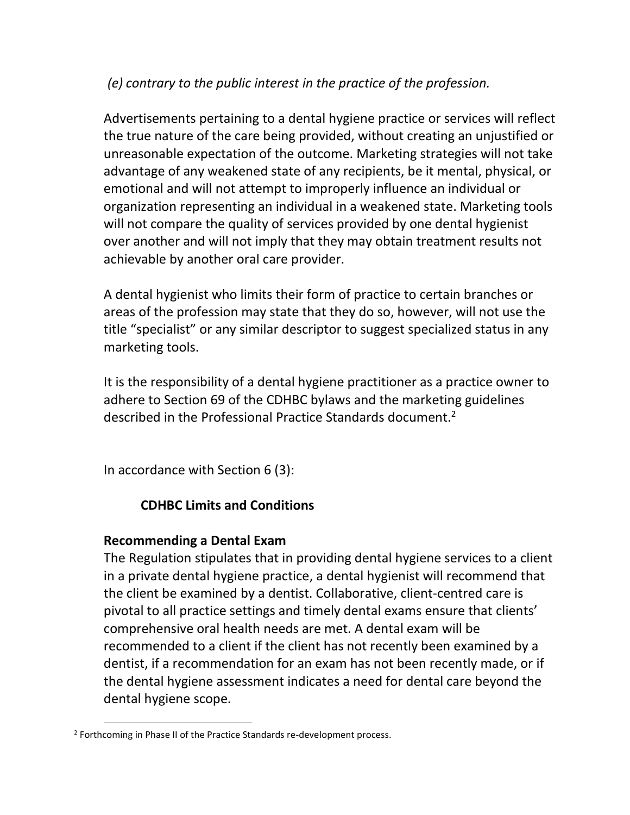# *(e) contrary to the public interest in the practice of the profession.*

Advertisements pertaining to a dental hygiene practice or services will reflect the true nature of the care being provided, without creating an unjustified or unreasonable expectation of the outcome. Marketing strategies will not take advantage of any weakened state of any recipients, be it mental, physical, or emotional and will not attempt to improperly influence an individual or organization representing an individual in a weakened state. Marketing tools will not compare the quality of services provided by one dental hygienist over another and will not imply that they may obtain treatment results not achievable by another oral care provider.

A dental hygienist who limits their form of practice to certain branches or areas of the profession may state that they do so, however, will not use the title "specialist" or any similar descriptor to suggest specialized status in any marketing tools.

It is the responsibility of a dental hygiene practitioner as a practice owner to adhere to Section 69 of the CDHBC bylaws and the marketing guidelines described in the Professional Practice Standards document.<sup>2</sup>

In accordance with Section 6 (3):

# **CDHBC Limits and Conditions**

## **Recommending a Dental Exam**

The Regulation stipulates that in providing dental hygiene services to a client in a private dental hygiene practice, a dental hygienist will recommend that the client be examined by a dentist. Collaborative, client-centred care is pivotal to all practice settings and timely dental exams ensure that clients' comprehensive oral health needs are met. A dental exam will be recommended to a client if the client has not recently been examined by a dentist, if a recommendation for an exam has not been recently made, or if the dental hygiene assessment indicates a need for dental care beyond the dental hygiene scope.

<sup>&</sup>lt;sup>2</sup> Forthcoming in Phase II of the Practice Standards re-development process.